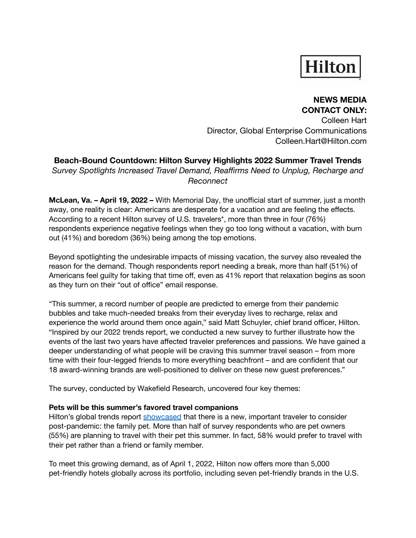# **Hilton**

### **NEWS MEDIA CONTACT ONLY:**

Colleen Hart Director, Global Enterprise Communications Colleen.Hart@Hilton.com

# **Beach-Bound Countdown: Hilton Survey Highlights 2022 Summer Travel Trends**

*Survey Spotlights Increased Travel Demand, Reaffirms Need to Unplug, Recharge and Reconnect*

**McLean, Va. – April 19, 2022 –** With Memorial Day, the unofficial start of summer, just a month away, one reality is clear: Americans are desperate for a vacation and are feeling the effects. According to a recent Hilton survey of U.S. travelers\*, more than three in four (76%) respondents experience negative feelings when they go too long without a vacation, with burn out (41%) and boredom (36%) being among the top emotions.

Beyond spotlighting the undesirable impacts of missing vacation, the survey also revealed the reason for the demand. Though respondents report needing a break, more than half (51%) of Americans feel guilty for taking that time off, even as 41% report that relaxation begins as soon as they turn on their "out of office" email response.

"This summer, a record number of people are predicted to emerge from their pandemic bubbles and take much-needed breaks from their everyday lives to recharge, relax and experience the world around them once again," said Matt Schuyler, chief brand officer, Hilton. "Inspired by our 2022 trends report, we conducted a new survey to further illustrate how the events of the last two years have affected traveler preferences and passions. We have gained a deeper understanding of what people will be craving this summer travel season – from more time with their four-legged friends to more everything beachfront – and are confident that our 18 award-winning brands are well-positioned to deliver on these new guest preferences."

The survey, conducted by Wakefield Research, uncovered four key themes:

## **Pets will be this summer's favored travel companions**

Hilton's global trends report [showcased](https://view.ceros.com/hilton/hilton-2022-trends-report/p/8) that there is a new, important traveler to consider post-pandemic: the family pet. More than half of survey respondents who are pet owners (55%) are planning to travel with their pet this summer. In fact, 58% would prefer to travel with their pet rather than a friend or family member.

To meet this growing demand, as of April 1, 2022, Hilton now offers more than 5,000 pet-friendly hotels globally across its portfolio, including seven pet-friendly brands in the U.S.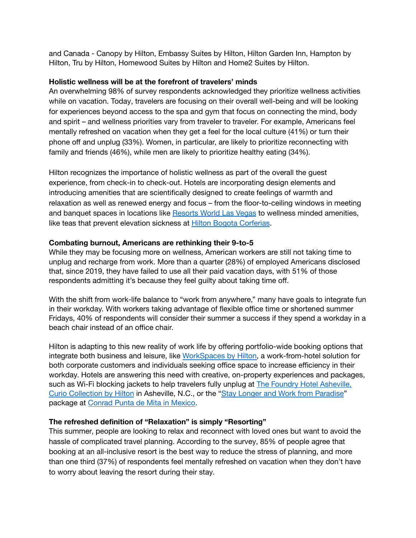and Canada - Canopy by Hilton, Embassy Suites by Hilton, Hilton Garden Inn, Hampton by Hilton, Tru by Hilton, Homewood Suites by Hilton and Home2 Suites by Hilton.

### **Holistic wellness will be at the forefront of travelers' minds**

An overwhelming 98% of survey respondents acknowledged they prioritize wellness activities while on vacation. Today, travelers are focusing on their overall well-being and will be looking for experiences beyond access to the spa and gym that focus on connecting the mind, body and spirit – and wellness priorities vary from traveler to traveler. For example, Americans feel mentally refreshed on vacation when they get a feel for the local culture (41%) or turn their phone off and unplug (33%). Women, in particular, are likely to prioritize reconnecting with family and friends (46%), while men are likely to prioritize healthy eating (34%).

Hilton recognizes the importance of holistic wellness as part of the overall the guest experience, from check-in to check-out. Hotels are incorporating design elements and introducing amenities that are scientifically designed to create feelings of warmth and relaxation as well as renewed energy and focus – from the floor-to-ceiling windows in meeting and banquet spaces in locations like [Resorts](https://nam02.safelinks.protection.outlook.com/?url=https%3A%2F%2Fsecure-web.cisco.com%2F10xG_3GYGdRslgvG2Y2hrgOceCpwJwvQKlRJvqbtxxtxUNYuavHud-LM8V6zTPqHAukGsGBIEL0b23q5fMRcN9HJPUtlQzS9xX2eiwNZFKfVB738FewC_3Q2XXYcGaABskgW834ovi0bd483l1x3hrZNJb0L0nncqVmYnzlaD9mdYSgJbPgCRVdmby4kUrs2aZOr7Nvcfd_-coD8y2MGdCSclcwM0Gn3DdBSdG1ZIGvD3ZjZZuuNvYGOFeWZM1kG9UVIxlqxqpppCaT8uZDXOtZHnJ8G_eKQGpGY_5HWFFfF23kJezmRzWjIOe-IVmqxT%2Fhttps%253A%252F%252Fwww.rwlasvegas.com%252F&data=04%7C01%7CColleen.Hart%40hilton.com%7Ce6681614641d427c7f8e08d9850960ec%7C660292d2cfd54a3db7a7e8f7ee458a0a%7C0%7C0%7C637687097585497833%7CUnknown%7CTWFpbGZsb3d8eyJWIjoiMC4wLjAwMDAiLCJQIjoiV2luMzIiLCJBTiI6Ik1haWwiLCJXVCI6Mn0%3D%7C1000&sdata=zxqrT3my3xN46SgmXUi5Fo%2FiN6ogqglT4iaIP%2BPZSAU%3D&reserved=0) World Las Vegas to wellness minded amenities, like teas that prevent elevation sickness at **Hilton Bogota [Corferias](https://www.hilton.com/en/hotels/bogcchh-hilton-bogota-corferias/)**.

#### **Combating burnout, Americans are rethinking their 9-to-5**

While they may be focusing more on wellness, American workers are still not taking time to unplug and recharge from work. More than a quarter (28%) of employed Americans disclosed that, since 2019, they have failed to use all their paid vacation days, with 51% of those respondents admitting it's because they feel guilty about taking time off.

With the shift from work-life balance to "work from anywhere," many have goals to integrate fun in their workday. With workers taking advantage of flexible office time or shortened summer Fridays, 40% of respondents will consider their summer a success if they spend a workday in a beach chair instead of an office chair.

Hilton is adapting to this new reality of work life by offering portfolio-wide booking options that integrate both business and leisure, like [WorkSpaces](https://www.workspacesbyhilton.com/) by Hilton, a work-from-hotel solution for both corporate customers and individuals seeking office space to increase efficiency in their workday. Hotels are answering this need with creative, on-property experiences and packages, such as Wi-Fi blocking jackets to help travelers fully unplug at **The Foundry Hotel Asheville**, Curio [Collection](https://www.hilton.com/en/hotels/avlcuqq-the-foundry-hotel-asheville/) by Hilton in Asheville, N.C., or the "Stay Longer and Work from [Paradise](https://www.conradpuntademita.com/offers/)" package at [Conrad](https://www.conradpuntademita.com/) Punta de Mita in Mexico.

### **The refreshed definition of "Relaxation" is simply "Resorting"**

This summer, people are looking to relax and reconnect with loved ones but want to avoid the hassle of complicated travel planning. According to the survey, 85% of people agree that booking at an all-inclusive resort is the best way to reduce the stress of planning, and more than one third (37%) of respondents feel mentally refreshed on vacation when they don't have to worry about leaving the resort during their stay.